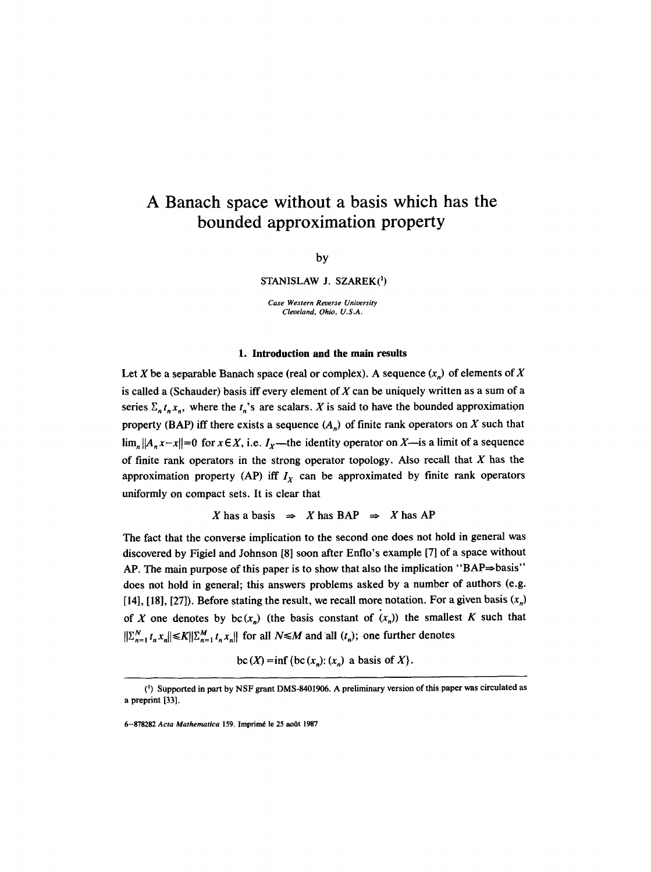# **A Banach space without a basis which has the bounded approximation property**

# by

STANISLAW J. SZAREK(1)

*Case Western Reverse University Cleveland, Ohio, U.S.A.* 

#### 1. Introduction and the main results

Let X be a separable Banach space (real or complex). A sequence  $(x_n)$  of elements of X is called a (Schauder) basis iff every element of  $X$  can be uniquely written as a sum of a series  $\Sigma_n t_n x_n$ , where the  $t_n$ 's are scalars. X is said to have the bounded approximation property (BAP) iff there exists a sequence  $(A_n)$  of finite rank operators on X such that  $\lim_{n} ||A_n x - x|| = 0$  for  $x \in X$ , i.e.  $I_x$ —the identity operator on X—is a limit of a sequence of finite rank operators in the strong operator topology. Also recall that  $X$  has the approximation property (AP) iff  $I<sub>x</sub>$  can be approximated by finite rank operators uniformly on compact sets. It is clear that

X has a basis  $\Rightarrow$  X has BAP  $\Rightarrow$  X has AP

The fact that the converse implication to the second one does not hold in general was discovered by Figiel and Johnson [8] soon after Enflo's example [7] of a space without AP. The main purpose of this paper is to show that also the implication "BAP $\Rightarrow$ basis" does not hold in general; this answers problems asked by a number of authors (e.g. [14], [18], [27]). Before stating the result, we recall more notation. For a given basis  $(x_n)$ of X one denotes by  $bc(x_n)$  (the basis constant of  $(x_n)$ ) the smallest K such that  $||\sum_{n=1}^{N} t_n x_n|| \leq K||\sum_{n=1}^{M} t_n x_n||$  for all  $N \leq M$  and all  $(t_n)$ ; one further denotes

bc(X) =inf {bc(x<sub>n</sub>): (x<sub>n</sub>) a basis of X}.

<sup>(</sup>I) Supported in part by NSF grant DMS-8401906. A preliminary version of this paper was circulated as a preprint [33].

<sup>6-878282</sup> Acta Mathematica 159. Imprimé le 25 août 1987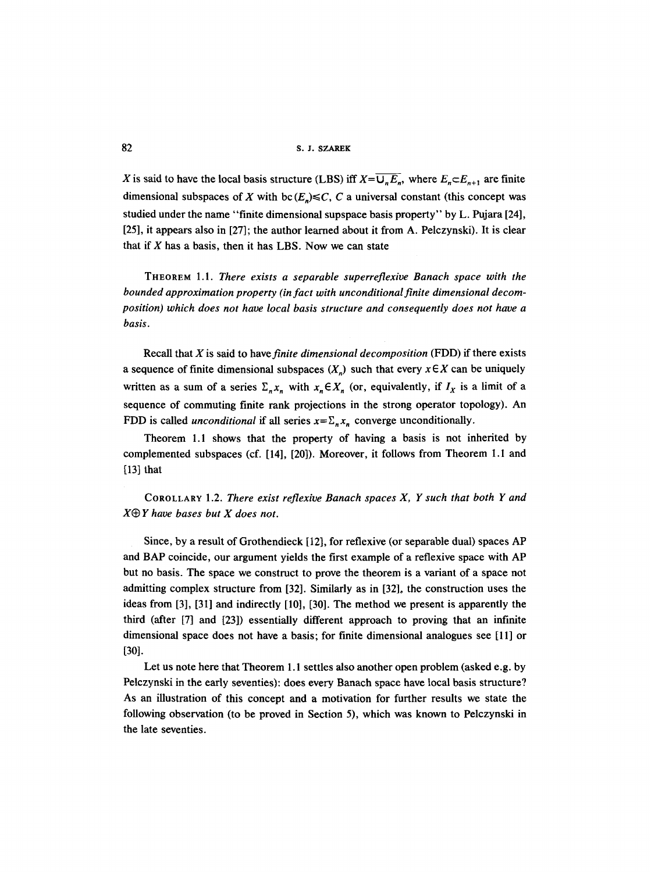82 s. J. SZAREK

X is said to have the local basis structure (LBS) iff  $X=\overline{U_nE_n}$ , where  $E_n \subset E_{n+1}$  are finite dimensional subspaces of X with bc( $E_n$ ) $\leq C$ , C a universal constant (this concept was studied under the name "finite dimensional supspace basis property" by L. Pujara [24], [25], it appears also in [27]; the author learned about it from A. Pelczynski). It is clear that if  $X$  has a basis, then it has LBS. Now we can state

THEOREM 1.1. *There exists a separable superreflexive Banach space with the bounded approximation property (in fact with unconditional finite dimensional decomposition) which does not have local basis structure and consequently does not have a basis.* 

Recall that X is said to *havefinite dimensional decomposition* (FDD) if there exists a sequence of finite dimensional subspaces  $(X_n)$  such that every  $x \in X$  can be uniquely written as a sum of a series  $\Sigma_n x_n$  with  $x_n \in X_n$  (or, equivalently, if  $I_x$  is a limit of a sequence of commuting finite rank projections in the strong operator topology). An FDD is called *unconditional* if all series  $x = \sum_{n} x_n$  converge unconditionally.

Theorem 1.1 shows that the property of having a basis is not inherited by complemented subspaces (cf. [14], [20]). Moreover, it follows from Theorem 1.1 and  $[13]$  that

COROLLARY 1.2. *There exist reflexive Banach spaces X, Y such that both Y and X~ Y have bases but X does not.* 

Since, by a result of Grothendieck [12], for reflexive (or separable dual) spaces AP and BAP coincide, our argument yields the first example of a reflexive space with AP but no basis. The space we construct to prove the theorem is a variant of a space not admitting complex structure from [32]. Similarly as in [32], the construction uses the ideas from [3], [31] and indirectly [10], [30]. The method we present is apparently the third (after [7] and [23]) essentially different approach to proving that an infinite dimensional space does not have a basis; for finite dimensional analogues see [11] or [30].

Let us note here that Theorem 1.1 settles also another open problem (asked e.g. by Pelczynski in the early seventies): does every Banach space have local basis structure? As an illustration of this concept and a motivation for further results we state the following observation (to be proved in Section 5), which was known to Pelczynski in the late seventies.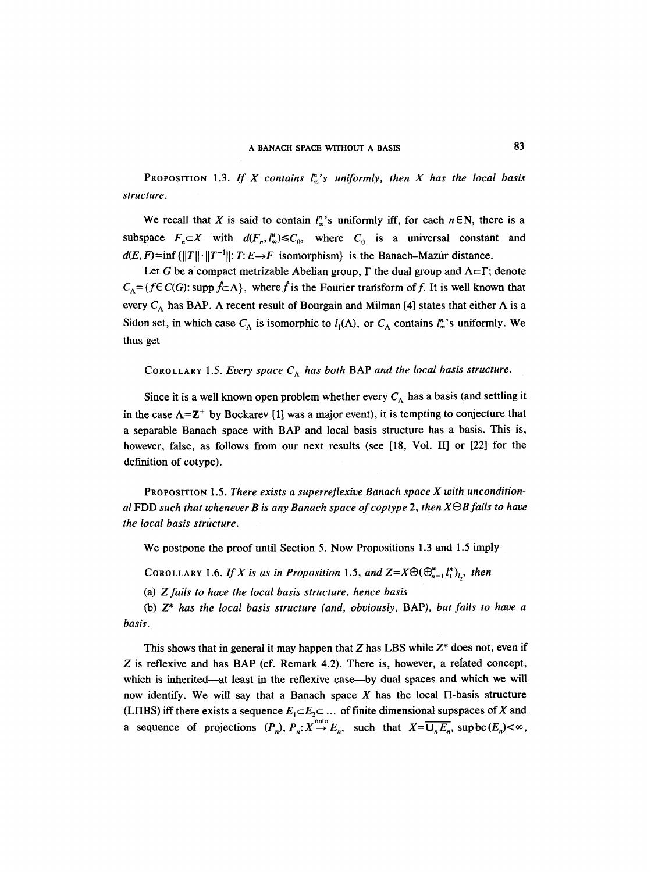PROPOSITION 1.3. If X contains  $\int_{-\infty}^{\infty}$ 's uniformly, then X has the local basis *structure.* 

We recall that X is said to contain  $l_{\infty}^{n}$ 's uniformly iff, for each  $n \in \mathbb{N}$ , there is a subspace  $F_n \subset X$  with  $d(F_n, l_\infty^n) \leq C_0$ , where  $C_0$  is a universal constant and  $d(E, F) = \inf \{ ||T|| \cdot ||T^{-1}|| : T : E \rightarrow F \text{ isomorphism} \}$  is the Banach-Mazur distance.

Let G be a compact metrizable Abelian group,  $\Gamma$  the dual group and  $\Lambda \subset \Gamma$ ; denote  $C_{\Lambda} = \{f \in C(G): \text{supp } f \subset \Lambda\}$ , where f is the Fourier transform of f. It is well known that every  $C_A$  has BAP. A recent result of Bourgain and Milman [4] states that either  $\Lambda$  is a Sidon set, in which case  $C_A$  is isomorphic to  $l_1(\Lambda)$ , or  $C_A$  contains  $l_\infty^n$ 's uniformly. We thus get

# COROLLARY 1.5. *Every space*  $C_A$  has both BAP and the local basis structure.

Since it is a well known open problem whether every  $C_A$  has a basis (and settling it in the case  $\Lambda = \mathbb{Z}^+$  by Bockarev [1] was a major event), it is tempting to conjecture that a separable Banach space with BAP and local basis structure has a basis. This is, however, false, as follows from our next results (see [18, Vol. II] or [22] for the definition of cotype).

PROPOSITION 1.5. *There exists a superreflexive Banach space X with unconditional* FDD *such that whenever B is any Banach space of coptype 2, then XO)B fails to have the local basis structure.* 

We postpone the proof until Section 5. Now Propositions 1.3 and 1.5 imply

COROLLARY 1.6. *If X is as in Proposition* 1.5, and  $Z=X\oplus (\bigoplus_{n=1}^{\infty} l_1^n)_{l_1}$ , then

(a) *Z fails to have the local basis structure, hence basis* 

(b) *Z\* has the local basis structure (and, obviously,* BAP), *but fails to have a basis.* 

This shows that in general it may happen that Z has LBS while  $Z^*$  does not, even if Z is reflexive and has BAP (cf. Remark 4.2). There is, however, a related concept, which is inherited—at least in the reflexive case—by dual spaces and which we will now identify. We will say that a Banach space  $X$  has the local  $\Pi$ -basis structure (LIIBS) iff there exists a sequence  $E_1 \subset E_2 \subset \ldots$  of finite dimensional supspaces of X and a sequence of projections  $(P_n)$ ,  $P_n: X \to E_n$ , such that  $X=\overline{U_nE_n}$ , supbc $(E_n) < \infty$ ,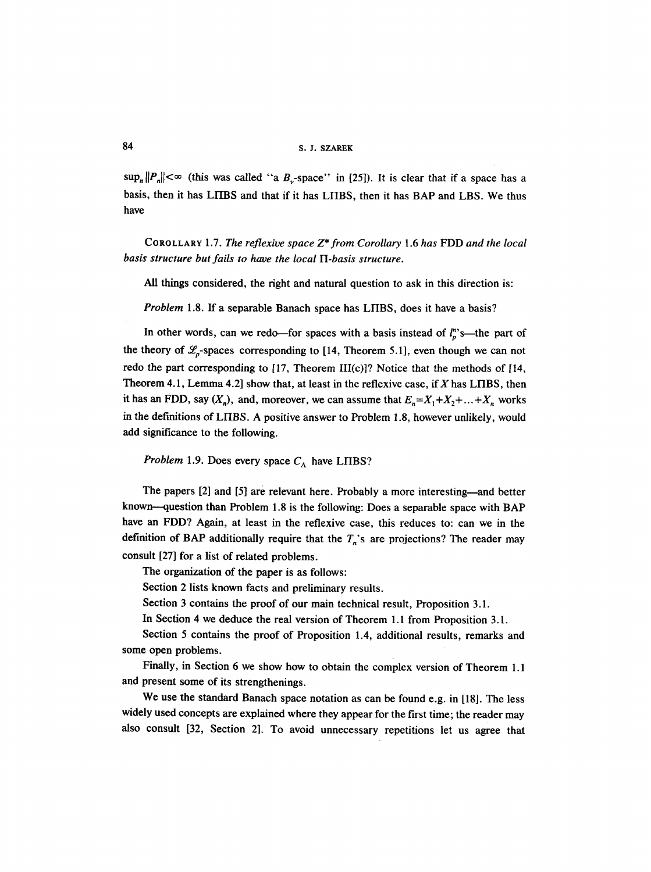$\sup_n ||P_n|| < \infty$  (this was called "a B<sub>y</sub>-space" in [25]). It is clear that if a space has a basis, then it has LHBS and that if it has LHBS, then it has BAP and LBS. We thus have

COROLLARY 1.7. *The reflexive space Z'from Corollary* 1.6 *has* FDD *and the local basis structure but fails to have the local H-basis structure.* 

All things considered, the right and natural question to ask in this direction is:

*Problem* 1.8. If a separable Banach space has LIIBS, does it have a basis?

In other words, can we redo---for spaces with a basis instead of  $l_p^{\prime\prime}$ 's---the part of the theory of  $\mathcal{L}_p$ -spaces corresponding to [14, Theorem 5.1], even though we can not redo the part corresponding to [17, Theorem III(c)]? Notice that the methods of [14, Theorem 4.1, Lemma 4.2] show that, at least in the reflexive case, if X has LIIBS, then it has an FDD, say  $(X_n)$ , and, moreover, we can assume that  $E_n = X_1 + X_2 + ... + X_n$  works in the definitions of LHBS. A positive answer to Problem 1.8, however unlikely, would add significance to the following.

*Problem* 1.9. Does every space  $C_A$  have LIIBS?

The papers [2] and [5] are relevant here. Probably a more interesting—and better known---question than Problem 1.8 is the following: Does a separable space with BAP have an FDD? Again, at least in the reflexive case, this reduces to: can we in the definition of BAP additionally require that the  $T_n$ 's are projections? The reader may consult [27] for a list of related problems.

The organization of the paper is as follows:

Section 2 lists known facts and preliminary results.

Section 3 contains the proof of our main technical result, Proposition 3.1.

In Section 4 we deduce the real version of Theorem 1.1 from Proposition 3.1.

Section 5 contains the proof of Proposition 1.4, additional results, remarks and some open problems.

Finally, in Section 6 we show how to obtain the complex version of Theorem 1.1 and present some of its strengthenings.

We use the standard Banach space notation as can be found e.g. in [18]. The less widely used concepts are explained where they appear for the first time; the reader may also consult [32, Section 2]. To avoid unnecessary repetitions let us agree that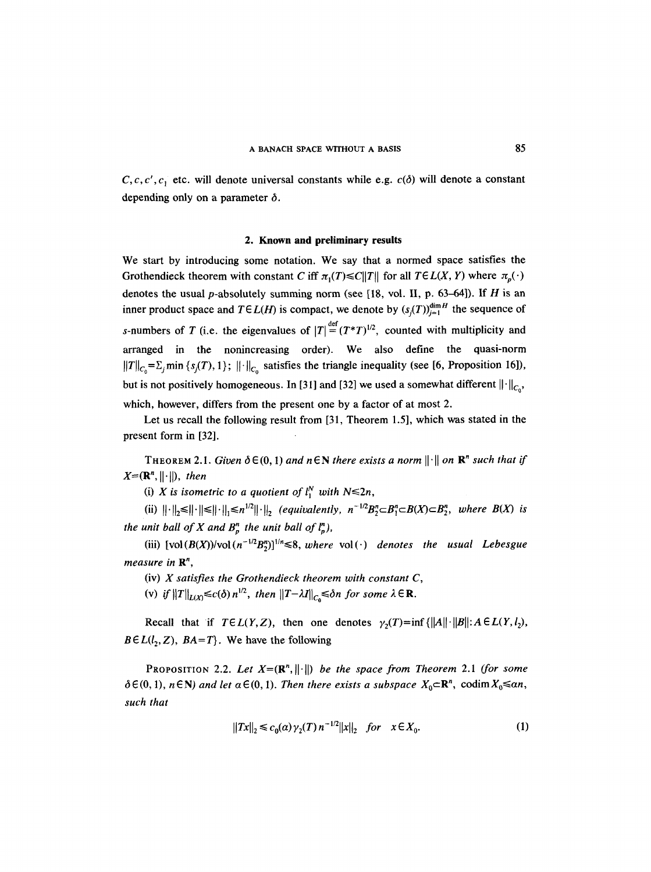$C, c, c', c$ , etc. will denote universal constants while e.g.  $c(\delta)$  will denote a constant depending only on a parameter  $\delta$ .

## **2. Known and preliminary results**

We start by introducing some notation. We say that a normed space satisfies the Grothendieck theorem with constant C iff  $\pi_1(T) \leq C ||T||$  for all  $T \in L(X, Y)$  where  $\pi_n(\cdot)$ denotes the usual p-absolutely summing norm (see [18, vol. II, p. 63-64]). If  $H$  is an inner product space and  $T \in L(H)$  is compact, we denote by  $(s_i(T))_{i=1}^{\dim H}$  the sequence of s-numbers of T (i.e. the eigenvalues of  $|T| = (T^*T)^{1/2}$ , counted with multiplicity and arranged in the nonincreasing order). We also define the quasi-norm  $||T||_{C_0} = \sum_j \min \{s_j(T), 1\}$ ;  $||\cdot||_{C_0}$  satisfies the triangle inequality (see [6, Proposition 16]), but is not positively homogeneous. In [31] and [32] we used a somewhat different  $\|\cdot\|_{C_{\alpha}}$ , which, however, differs from the present one by a factor of at most 2.

Let us recall the following result from [31, Theorem 1.5], which was stated in the present form in [32].

THEOREM 2.1. *Given*  $\delta \in (0, 1)$  *and*  $n \in \mathbb{N}$  *there exists a norm*  $\|\cdot\|$  *on*  $\mathbb{R}^n$  *such that if*  $X=(\mathbb{R}^n, \|\cdot\|),$  *then* 

(i) *X* is isometric to a quotient of  $l_1^N$  with  $N \le 2n$ ,

(ii)  $\|\cdot\|_{\infty} \leq \|\cdot\| \leq \| \cdot \|_{\infty} \leq n^{1/2} \|\cdot\|_{\infty}$  *(equivalently, n<sup>-1/2</sup>B*<sup>n</sup><sub>2</sub> $\subset B_1^n \subset B(X) \subset B_2^n$ , where B(X) is *the unit ball of X and*  $B_{p}^{n}$  *the unit ball of*  $\binom{n}{p}$ *,* 

(iii)  $[vol(B(X))/vol(n^{-1/2}B_{\nu}^{n})]^{1/n} \leq 8$ , where  $vol(\cdot)$  denotes the usual Lebesgue *measure in*  $\mathbb{R}^n$ ,

(iv) *X satisfies the Grothendieck theorem with constant C,* 

(v) *if*  $||T||_{L(X)} \le c(\delta) n^{1/2}$ , then  $||T-\lambda I||_{C_{\delta}} \le \delta n$  for some  $\lambda \in \mathbb{R}$ .

Recall that if  $T \in L(Y, Z)$ , then one denotes  $\gamma_2(T) = \inf \{||A|| \cdot ||B|| : A \in L(Y, l_2),\}$  $B \in L(l_2, Z)$ ,  $BA = T$ . We have the following

PROPOSITION 2.2. Let  $X=(\mathbb{R}^n, \|\cdot\|)$  *be the space from Theorem 2.1 (for some*  $\delta \in (0, 1)$ ,  $n \in \mathbb{N}$ ) and let  $\alpha \in (0, 1)$ . Then there exists a subspace  $X_0 \subset \mathbb{R}^n$ , codim  $X_0 \leq \alpha n$ , *such that* 

$$
||Tx||_2 \le c_0(\alpha) \gamma_2(T) n^{-1/2} ||x||_2 \quad \text{for} \quad x \in X_0. \tag{1}
$$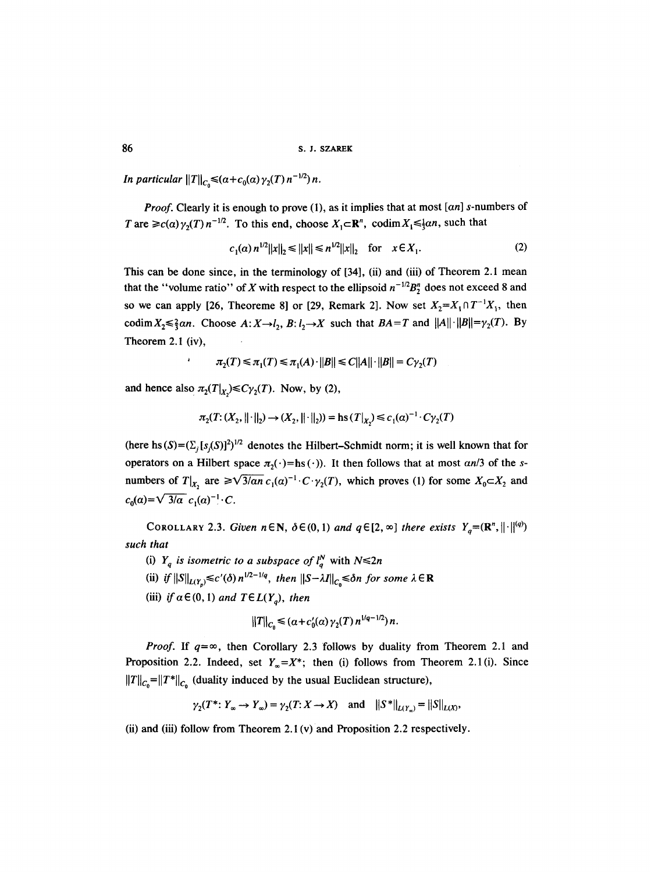*In particular*  $||T||_{C_0} \leq (a + c_0(a) \gamma_2(T) n^{-1/2}) n$ .

*Proof.* Clearly it is enough to prove (1), as it implies that at most *[an]* s-numbers of T are  $\geq c(\alpha)\gamma_2(T)n^{-1/2}$ . To this end, choose  $X_1 \subset \mathbb{R}^n$ , codim  $X_1 \leq \frac{1}{2}\alpha n$ , such that

$$
c_1(\alpha) n^{1/2} ||x||_2 \le ||x|| \le n^{1/2} ||x||_2 \quad \text{for} \quad x \in X_1. \tag{2}
$$

This can be done since, in the terminology of [34], (ii) and (iii) of Theorem 2.1 mean that the "volume ratio" of X with respect to the ellipsoid  $n^{-1/2}B_7^n$  does not exceed 8 and so we can apply [26, Theoreme 8] or [29, Remark 2]. Now set  $X_2 = X_1 \cap T^{-1}X_1$ , then codim  $X_2 \le \frac{2}{3}$ an. Choose  $A: X \rightarrow l_2$ ,  $B: l_2 \rightarrow X$  such that  $BA = T$  and  $||A|| \cdot ||B|| = \gamma_2(T)$ . By Theorem 2.1 (iv),

$$
\tau_2(T) \le \pi_1(T) \le \pi_1(A) \cdot ||B|| \le C||A|| \cdot ||B|| = C\gamma_2(T)
$$

and hence also  $\pi_2(T|_{X_2}) \leq C \gamma_2(T)$ . Now, by (2),

$$
\pi_2(T: (X_2, \|\cdot\|_2) \to (X_2, \|\cdot\|_2)) = \text{hs}(T|_{X_2}) \leq c_1(\alpha)^{-1} \cdot C \gamma_2(T)
$$

(here hs  $(S)=(\sum_{i} [s_i(S)]^2)^{1/2}$  denotes the Hilbert-Schmidt norm; it is well known that for operators on a Hilbert space  $\pi_2(\cdot)$ =hs ( $\cdot$ )). It then follows that at most *an*/3 of the snumbers of  $T|_{X_1}$  are  $\geq \sqrt{3}/\sqrt{3}$   $c_1(a)^{-1} \cdot C \cdot \gamma_2(T)$ , which proves (1) for some  $X_0 \subset X_2$  and  $c_0(a) = \sqrt{3/a} \ c_1(a)^{-1} \cdot C$ .

COROLLARY 2.3. *Given*  $n \in \mathbb{N}$ ,  $\delta \in (0, 1)$  *and*  $q \in [2, \infty]$  *there exists*  $Y_q = (\mathbb{R}^n, ||\cdot||^{(q)})$ *such that* 

(i)  $Y_q$  *is isometric to a subspace of*  $l_q^N$  with  $N \le 2n$ 

(ii) *if*  $||S||_{L(Y_p)} \le c'(\delta) n^{1/2-1/q}$ , then  $||S-\lambda I||_{C_0} \le \delta n$  for some  $\lambda \in \mathbb{R}$ 

(iii) *if*  $\alpha \in (0, 1)$  *and*  $T \in L(Y_a)$ *, then* 

$$
||T||_{C_{\alpha}} \leq (a + c'_0(a)\gamma_2(T) n^{1/q-1/2}) n.
$$

*Proof.* If  $q = \infty$ , then Corollary 2.3 follows by duality from Theorem 2.1 and Proposition 2.2. Indeed, set  $Y_{\infty} = X^*$ ; then (i) follows from Theorem 2.1(i). Since  $||T||_{C_0} = ||T^*||_{C_0}$  (duality induced by the usual Euclidean structure),

$$
\gamma_2(T^*: Y_\infty \to Y_\infty) = \gamma_2(T: X \to X)
$$
 and  $||S^*||_{L(Y_\infty)} = ||S||_{L(X)},$ 

(ii) and (iii) follow from Theorem 2.1 (v) and Proposition 2.2 respectively.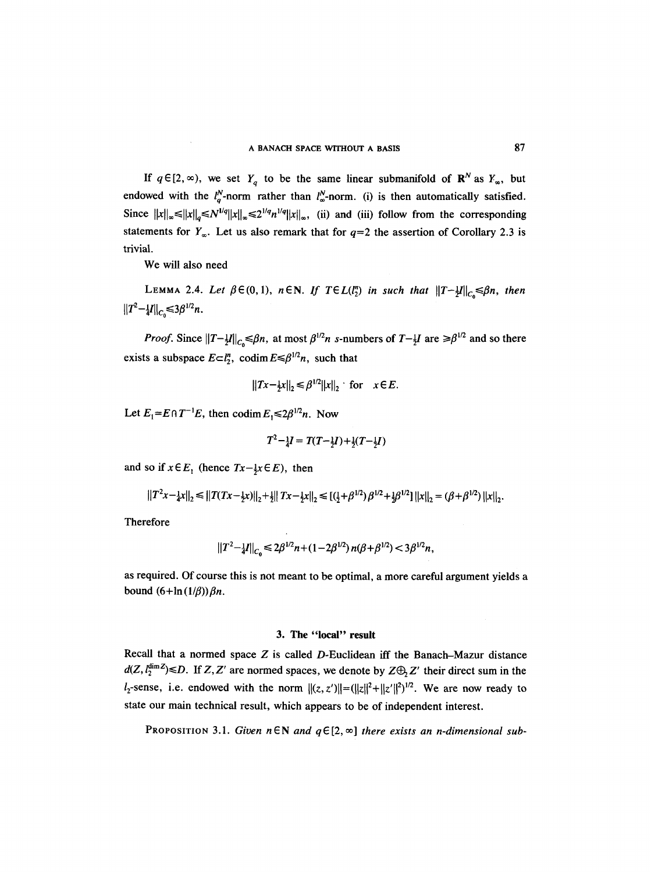If  $q \in [2, \infty)$ , we set  $Y_q$  to be the same linear submanifold of  $\mathbb{R}^N$  as  $Y_\infty$ , but endowed with the  $l_q^N$ -norm rather than  $l_\infty^N$ -norm. (i) is then automatically satisfied. Since  $||x||_{\infty} \le ||x||_{\infty} \le N^{1/q} ||x||_{\infty} \le 2^{1/q} n^{1/q} ||x||_{\infty}$ , (ii) and (iii) follow from the corresponding statements for  $Y_{\infty}$ . Let us also remark that for  $q=2$  the assertion of Corollary 2.3 is trivial.

We will also need

LEMMA 2.4. Let  $\beta \in (0,1)$ ,  $n \in \mathbb{N}$ . If  $T \in L(l_2^n)$  in such that  $||T-\frac{1}{2}I||_{C_0} \leq \beta n$ , then  $||T^2-|I||_C \leq 3\beta^{1/2}n$ .

*Proof.* Since  $||T-\frac{1}{2}I||_{C_0} \leq \beta n$ , at most  $\beta^{1/2}n$  s-numbers of  $T-\frac{1}{2}I$  are  $\geq \beta^{1/2}$  and so there exists a subspace  $E \subset l_2^n$ , codim  $E \leq \beta^{1/2}n$ , such that

$$
||Tx - \frac{1}{2}x||_2 \le \beta^{1/2}||x||_2 \text{ for } x \in E.
$$

Let  $E_1 = E \cap T^{-1}E$ , then  $\operatorname{codim} E_1 \leq 2\beta^{1/2}n$ . Now

$$
T^2 - \frac{1}{4}I = T(T - \frac{1}{2}I) + \frac{1}{2}(T - \frac{1}{2}I)
$$

and so if  $x \in E_1$  (hence  $Tx-\frac{1}{2}x \in E$ ), then

$$
||T^2x - \frac{1}{4}x||_2 \le ||T(Tx - \frac{1}{2}x)||_2 + \frac{1}{2}||Tx - \frac{1}{2}x||_2 \le [(\frac{1}{2} + \beta^{1/2})\beta^{1/2} + \frac{1}{2}\beta^{1/2}]||x||_2 = (\beta + \beta^{1/2})||x||_2.
$$

Therefore

$$
||T^2-\frac{1}{4}I||_{C_0}\leq 2\beta^{1/2}n+(1-2\beta^{1/2})n(\beta+\beta^{1/2})<3\beta^{1/2}n,
$$

as required. Of course this is not meant to be optimal, a more careful argument yields a bound  $(6+\ln{(1/\beta)})\beta n$ .

# **3. The "local" result**

Recall that a normed space  $Z$  is called  $D$ -Euclidean iff the Banach-Mazur distance  $d(Z, l_2^{\text{dim }Z}) \le D$ . If  $Z, Z'$  are normed spaces, we denote by  $Z \oplus Z'$  their direct sum in the  $l_2$ -sense, i.e. endowed with the norm  $\|(z, z')\| = (\|z\|^2 + \|z'\|^2)^{1/2}$ . We are now ready to state our main technical result, which appears to be of independent interest.

PROPOSITION 3.1. Given  $n \in \mathbb{N}$  and  $q \in [2, \infty]$  *there exists an n-dimensional sub-*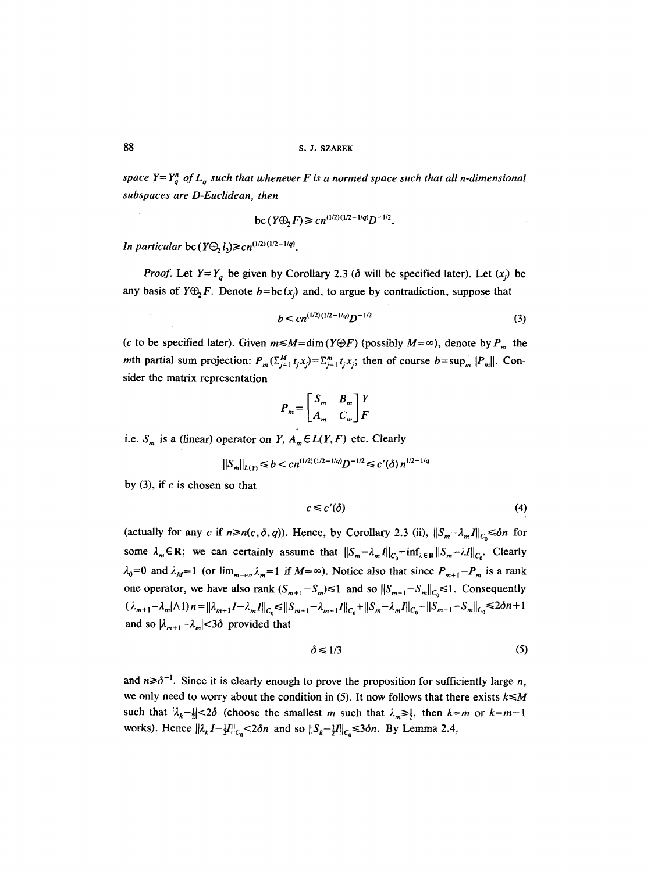*space Y*= $Y_a^m$  *of L<sub>a</sub> such that whenever F is a normed space such that all n-dimensional subspaces are D-Euclidean, then* 

bc 
$$
(Y \oplus F) \geq cn^{(1/2)(1/2-1/q)}D^{-1/2}
$$
.

*In particular bc*  $(Y \oplus L) \geq cn^{(1/2)(1/2-1/q)}$ .

*Proof.* Let  $Y = Y_q$  be given by Corollary 2.3 ( $\delta$  will be specified later). Let  $(x_j)$  be any basis of  $Y \oplus_2 F$ . Denote  $b = bc(x_i)$  and, to argue by contradiction, suppose that

$$
b < cn^{(1/2)(1/2 - 1/q)}D^{-1/2} \tag{3}
$$

(c to be specified later). Given  $m \le M = \dim(Y \oplus F)$  (possibly  $M = \infty$ ), denote by  $P_m$  the mth partial sum projection:  $P_m(\sum_{i=1}^M t_i x_i) = \sum_{i=1}^m t_i x_i$ ; then of course  $b = \sup_m ||P_m||$ . Consider the matrix representation

$$
P_m = \begin{bmatrix} S_m & B_m \\ A_m & C_m \end{bmatrix} \begin{bmatrix} Y \\ F \end{bmatrix}
$$

i.e.  $S_m$  is a (linear) operator on *Y*,  $A_m \in L(Y, F)$  etc. Clearly

$$
||S_m||_{L(Y)} \le b < c n^{(1/2)(1/2 - 1/q)} D^{-1/2} \le c'(\delta) n^{1/2 - 1/q}
$$

by  $(3)$ , if c is chosen so that

$$
c \leq c'(\delta) \tag{4}
$$

(actually for any c if  $n \ge n(c, \delta, q)$ ). Hence, by Corollary 2.3 (ii),  $||S_m - \lambda_m I||_c \le \delta n$  for some  $\lambda_m \in \mathbb{R}$ ; we can certainly assume that  $||S_m - \lambda_m I||_{C_0} = \inf_{\lambda \in \mathbb{R}} ||S_m - \lambda I||_{C_0}$ . Clearly  $\lambda_0=0$  and  $\lambda_M=1$  (or  $\lim_{m\to\infty}\lambda_m=1$  if  $M=\infty$ ). Notice also that since  $P_{m+1}-P_m$  is a rank one operator, we have also rank  $(S_{m+1}-S_m) \le 1$  and so  $||S_{m+1}-S_m||_{C_0} \le 1$ . Consequently  $\|(\lambda_{m+1}-\lambda_m|\wedge 1)\|n\|=\|\lambda_{m+1}I-\lambda_mI\|_{C_0}\leq \|S_{m+1}-\lambda_{m+1}I\|_{C_0}+\|S_{m}-\lambda_mI\|_{C_0}+\|S_{m+1}-S_m\|_{C_0}\leq 2\delta n+1$ and so  $|\lambda_{m+1}-\lambda_m|<3\delta$  provided that

$$
\delta \leq 1/3 \tag{5}
$$

and  $n \ge \delta^{-1}$ . Since it is clearly enough to prove the proposition for sufficiently large n, we only need to worry about the condition in  $(5)$ . It now follows that there exists  $k \le M$ such that  $|\lambda_k - \frac{1}{2}| < 2\delta$  (choose the smallest *m* such that  $\lambda_m \geq \frac{1}{2}$ , then  $k=m$  or  $k=m-1$ works). Hence  $||\lambda_k I - \frac{1}{2}I||_{C_0} < 2\delta n$  and so  $||S_k - \frac{1}{2}I||_{C_0} \leq 3\delta n$ . By Lemma 2.4,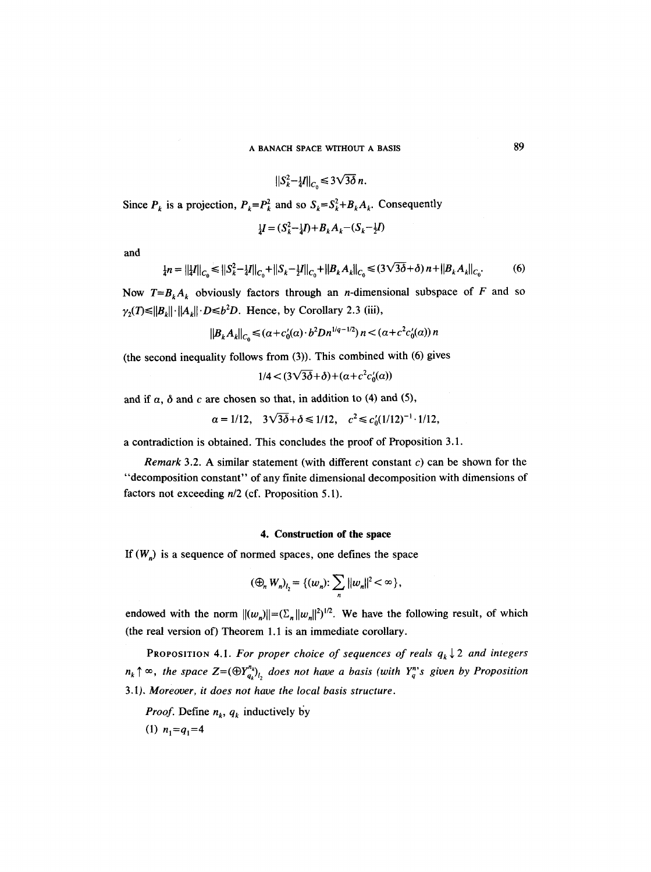$$
\|S_k^2 - \frac{1}{4}I\|_{C_0} \leq 3\sqrt{3\delta} n.
$$

Since  $P_k$  is a projection,  $P_k = P_k^2$  and so  $S_k = S_k^2 + B_k A_k$ . Consequently

$$
\frac{1}{4}I = (S_k^2 - \frac{1}{4}I) + B_k A_k - (S_k - \frac{1}{2}I)
$$

and

$$
\frac{1}{4}n = ||\frac{1}{4}I||_{C_0} \le ||S_k^2 - \frac{1}{4}I||_{C_0} + ||S_k - \frac{1}{2}I||_{C_0} + ||B_k A_k||_{C_0} \le (3\sqrt{3\delta} + \delta) n + ||B_k A_k||_{C_0}.
$$
 (6)

Now  $T=B_kA_k$  obviously factors through an *n*-dimensional subspace of F and so  $\gamma_2(T) \le ||B_k|| \cdot ||A_k|| \cdot D \le b^2D$ . Hence, by Corollary 2.3 (iii),

$$
||B_k A_k||_C \leq (a + c_0'(a) \cdot b^2 D n^{1/q-1/2}) n < (a + c^2 c_0'(a)) n
$$

(the second inequality follows from (3)). This combined with (6) gives

$$
1/4 < (3\sqrt{3\delta} + \delta) + (\alpha + c^2 c_0'(\alpha))
$$

and if  $\alpha$ ,  $\delta$  and  $c$  are chosen so that, in addition to (4) and (5),

$$
\alpha = 1/12
$$
,  $3\sqrt{3\delta} + \delta \le 1/12$ ,  $c^2 \le c'_0(1/12)^{-1} \cdot 1/12$ ,

a contradiction is obtained. This concludes the proof of Proposition 3.1.

*Remark* 3.2. A similar statement (with different constant c) can be shown for the "decomposition constant" of any finite dimensional decomposition with dimensions of factors not exceeding *n/2* (cf. Proposition 5.1).

#### **4. Construction of the space**

If  $(W_n)$  is a sequence of normed spaces, one defines the space

$$
(\bigoplus_n W_n)_{l_2} = \{ (w_n): \sum_n ||w_n||^2 < \infty \},\
$$

endowed with the norm  $||(w_n)|| = (\sum_{n} ||w_n||^2)^{1/2}$ . We have the following result, of which (the real version of) Theorem 1.1 is an immediate corollary.

PROPOSITION 4.1. For proper choice of sequences of reals  $q_k \downarrow 2$  and integers  $n_k \uparrow \infty$ , the space  $Z=(\bigoplus Y_{q_k}^{n_k})_{l_1}$  does not have a basis (with  $Y_q^{n_k}$ s given by Proposition 3.1). *Moreover, it does not have the local basis structure.* 

*Proof.* Define  $n_k$ ,  $q_k$  inductively by

(1)  $n_1=q_1=4$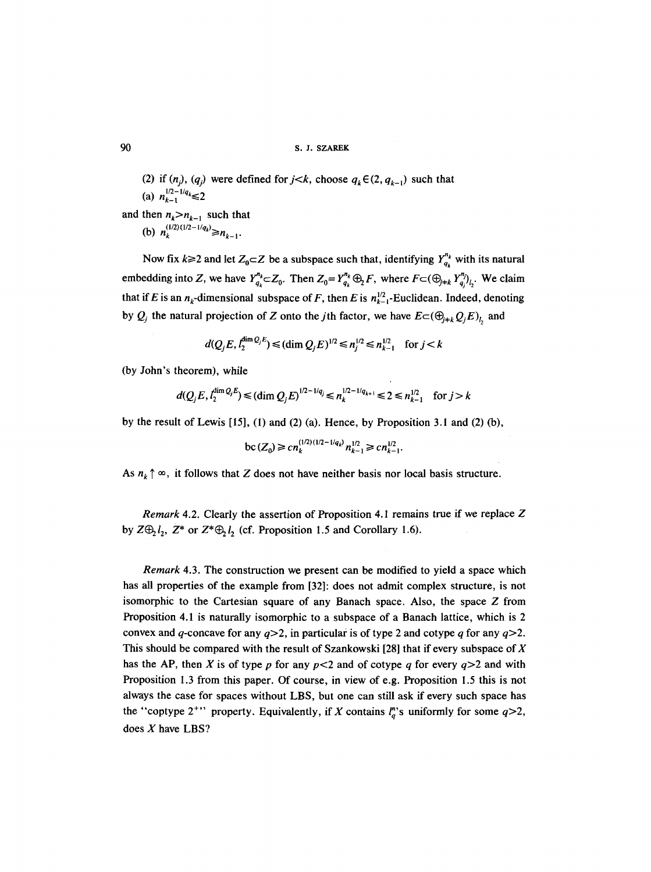(2) if  $(n_i)$ ,  $(q_i)$  were defined for  $j < k$ , choose  $q_k \in (2, q_{k-1})$  such that (a)  $n_{k-1}^{1/2-1/q_k} \leq 2$ 

and then  $n_k > n_{k-1}$  such that (b)  $n_k^{(1/2)(1/2-1/q_k)} \ge n_{k-1}$ .

Now fix  $k \ge 2$  and let  $Z_0 \subset Z$  be a subspace such that, identifying  $Y_{q_k}^{n_k}$  with its natural embedding into Z, we have  $Y_{q_k}^{n_k} \subset Z_0$ . Then  $Z_0 = Y_{q_k}^{n_k} \bigoplus F$ , where  $F \subset (\bigoplus_{j=k} Y_{q_j}^{n_j})_{l_2}$ . We claim that if E is an  $n_k$ -dimensional subspace of F, then E is  $n_{k-1}^{1/2}$ -Euclidean. Indeed, denoting by  $Q_j$  the natural projection of Z onto the *j*th factor, we have  $E \subset (\bigoplus_{j \neq k} Q_j E)$ <sub>k</sub> and

$$
d(Q_j E, l_2^{\dim Q_j E}) \leq (\dim Q_j E)^{1/2} \leq n_j^{1/2} \leq n_{k-1}^{1/2} \quad \text{for } j < k
$$

(by John's theorem), while

$$
d(Q_j E, l_2^{\dim Q_j E}) \leq (\dim Q_j E)^{1/2 - 1/q_j} \leq n_k^{1/2 - 1/q_{k+1}} \leq 2 \leq n_{k-1}^{1/2} \quad \text{for } j > k
$$

by the result of Lewis [15], (I) and (2) (a). Hence, by Proposition 3.1 and (2) (b),

$$
\mathrm{bc}\,(Z_0) \geq c n_k^{(1/2)(1/2-1/q_k)} n_{k-1}^{1/2} \geq c n_{k-1}^{1/2}.
$$

As  $n_k \uparrow \infty$ , it follows that Z does not have neither basis nor local basis structure.

*Remark* 4.2. Clearly the assertion of Proposition 4.1 remains true if we replace Z by  $Z\bigoplus_1 l_2$ ,  $Z^*$  or  $Z^*\bigoplus_1 l_2$  (cf. Proposition 1.5 and Corollary 1.6).

*Remark* 4.3. The construction we present can be modified to yield a space which has all properties of the example from [32]: does not admit complex structure, is not isomorphic to the Cartesian square of any Banach space. Also, the space Z from Proposition 4.1 is naturally isomorphic to a subspace of a Banach lattice, which is 2 convex and q-concave for any  $q>2$ , in particular is of type 2 and cotype q for any  $q>2$ . This should be compared with the result of Szankowski [28] that if every subspace of  $X$ has the AP, then X is of type p for any  $p < 2$  and of cotype q for every  $q > 2$  and with Proposition 1.3 from this paper. Of course, in view of e.g. Proposition 1.5 this is not always the case for spaces without LBS, but one can still ask if every such space has the "coptype 2<sup>+</sup>" property. Equivalently, if X contains  $l_q^s$ " uniformly for some  $q>2$ , does X have LBS?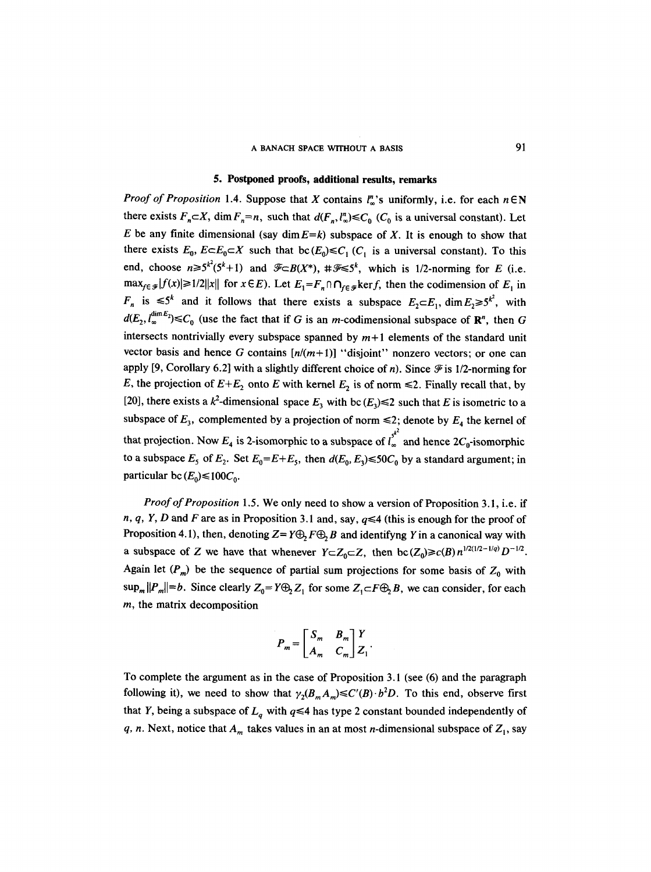# A BANACH SPACE WITHOUT A BASIS 91

# **5. Postponed proofs, additional results,** remarks

*Proof of Proposition 1.4.* Suppose that X contains  $\mathbb{I}_n^n$ 's uniformly, i.e. for each  $n \in \mathbb{N}$ there exists  $F_n \subset X$ , dim  $F_n=n$ , such that  $d(F_n, l_n^n) \leq C_0$  ( $C_0$  is a universal constant). Let E be any finite dimensional (say  $\dim E=k$ ) subspace of X. It is enough to show that there exists  $E_0$ ,  $E \subset E_0 \subset X$  such that  $bc(E_0) \leq C_1$  ( $C_1$  is a universal constant). To this end, choose  $n \ge 5^{k^2}(5^k+1)$  and  $\mathcal{F} \subset B(X^*)$ ,  $\#\mathcal{F} \le 5^k$ , which is 1/2-norming for E (i.e.  $\max_{f \in \mathcal{F}} |f(x)| \geq 1/2 ||x||$  for  $x \in E$ ). Let  $E_1 = F_n \cap \bigcap_{f \in \mathcal{F}} \ker f$ , then the codimension of  $E_1$  in  $F_n$  is  $\leq 5^k$  and it follows that there exists a subspace  $E_2 \subset E_1$ ,  $\dim E_2 \geq 5^{k^2}$ , with  $d(E_2, l_{\infty}^{\text{dim }E_2}) \leq C_0$  (use the fact that if G is an m-codimensional subspace of  $\mathbb{R}^n$ , then G intersects nontrivially every subspace spanned by  $m+1$  elements of the standard unit vector basis and hence G contains  $[n/(m+1)]$  "disjoint" nonzero vectors; or one can apply [9, Corollary 6.2] with a slightly different choice of n). Since  $\mathcal F$  is 1/2-norming for E, the projection of  $E+E_2$  onto E with kernel  $E_2$  is of norm  $\leq 2$ . Finally recall that, by [20], there exists a  $k^2$ -dimensional space  $E_3$  with bc  $(E_3) \le 2$  such that E is isometric to a subspace of  $E_3$ , complemented by a projection of norm  $\leq 2$ ; denote by  $E_4$  the kernel of  $k^2$ that projection. Now  $E_4$  is 2-isomorphic to a subspace of  $I_{\infty}$  and hence  $2C_0$ -isomorphic to a subspace  $E_5$  of  $E_2$ . Set  $E_0 = E + E_5$ , then  $d(E_0, E_3) \le 50C_0$  by a standard argument; in particular bc  $(E_0) \le 100C_0$ .

*Proof of Proposition* 1.5. We only need to show a version of Proposition 3.1, i.e. if n, q, Y, D and F are as in Proposition 3.1 and, say,  $q \leq 4$  (this is enough for the proof of Proposition 4.1), then, denoting  $Z = Y \oplus F \oplus B$  and identifyng Y in a canonical way with a subspace of Z we have that whenever  $Y \subset Z_0 \subset Z$ , then  $bc(Z_0) \ge c(B) n^{1/2(1/2 - 1/q)} D^{-1/2}$ . Again let  $(P_m)$  be the sequence of partial sum projections for some basis of  $Z_0$  with  $\sup_m ||P_m||=b$ . Since clearly  $Z_0=Y\bigoplus_2 Z_1$  for some  $Z_1 \subset F\bigoplus_2 B$ , we can consider, for each m, the matrix decomposition

$$
P_m = \begin{bmatrix} S_m & B_m \\ A_m & C_m \end{bmatrix} \begin{bmatrix} Y \\ Z_1 \end{bmatrix}.
$$

To complete the argument as in the case of Proposition 3.1 (see (6) and the paragraph following it), we need to show that  $\gamma_2(B_mA_m) \leq C'(B) \cdot b^2D$ . To this end, observe first that Y, being a subspace of  $L_q$  with  $q \leq 4$  has type 2 constant bounded independently of q, n. Next, notice that  $A_m$  takes values in an at most n-dimensional subspace of  $Z_1$ , say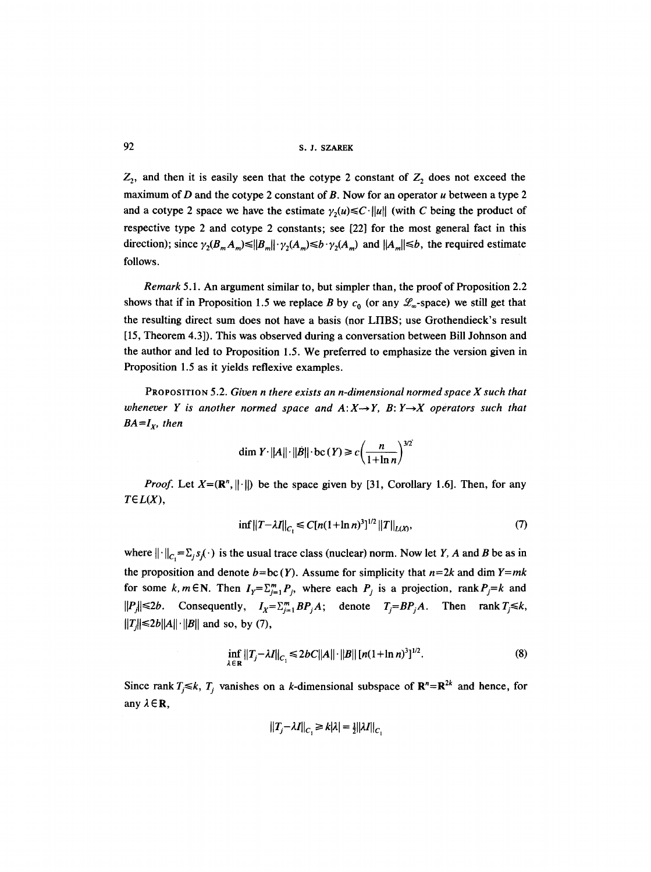92 s.J. SZAREK

 $Z_2$ , and then it is easily seen that the cotype 2 constant of  $Z_2$  does not exceed the maximum of  $D$  and the cotype 2 constant of  $B$ . Now for an operator  $u$  between a type 2 and a cotype 2 space we have the estimate  $\gamma_2(u) \leq C \cdot ||u||$  (with C being the product of respective type 2 and cotype 2 constants; see [22] for the most general fact in this direction); since  $\gamma_2(B_mA_m) \leq ||B_m|| \cdot \gamma_2(A_m) \leq b \cdot \gamma_2(A_m)$  and  $||A_m|| \leq b$ , the required estimate follows.

*Remark* 5.1. An argument similar to, but simpler than, the proof of Proposition 2.2 shows that if in Proposition 1.5 we replace B by  $c_0$  (or any  $\mathscr{L}_{\infty}$ -space) we still get that the resulting direct sum does not have a basis (nor LFIBS; use Grothendieck's result [15, Theorem 4.3]). This was observed during a conversation between Bill Johnson and the author and led to Proposition 1.5. We preferred to emphasize the version given in Proposition 1.5 as it yields reflexive examples.

PROPOSITION 5.2. *Given n there exists an n-dimensional normed space X such that*  whenever Y is another normed space and  $A: X \rightarrow Y$ , B:  $Y \rightarrow X$  operators such that  $BA=I<sub>x</sub>$ , then

$$
\dim Y \cdot ||A|| \cdot ||B|| \cdot \text{bc}(Y) \ge c \left(\frac{n}{1 + \ln n}\right)^{3/2}
$$

*Proof.* Let  $X=(\mathbb{R}^n, ||\cdot||)$  be the space given by [31, Corollary 1.6]. Then, for any *TEL(X),* 

$$
\inf \|T - \lambda I\|_{C_1} \le C[n(1 + \ln n)^3]^{1/2} \|T\|_{L(X)},\tag{7}
$$

where  $\|\cdot\|_{C_1} = \sum_j s_j(\cdot)$  is the usual trace class (nuclear) norm. Now let Y, A and B be as in the proposition and denote  $b=bc(Y)$ . Assume for simplicity that  $n=2k$  and dim  $Y=mk$ for some k,  $m \in \mathbb{N}$ . Then  $I_Y = \sum_{i=1}^m P_i$ , where each  $P_j$  is a projection,  $\text{rank } P_j = k$  and  $||P_j|| \le 2b$ . Consequently,  $I_x = \sum_{j=1}^m BP_jA$ ; denote  $T_j = BP_jA$ . Then rank  $T_j \le k$ ,  $||T_x|| \le 2b||A|| \cdot ||B||$  and so, by (7),

$$
\inf_{\lambda \in \mathbf{R}} ||T_j - \lambda I||_{C_1} \le 2bC||A|| \cdot ||B|| [n(1 + \ln n)^3]^{1/2}.
$$
 (8)

Since rank  $T_i \le k$ ,  $T_i$  vanishes on a k-dimensional subspace of  $\mathbb{R}^n = \mathbb{R}^{2k}$  and hence, for any  $\lambda \in \mathbb{R}$ ,

$$
||T_j - \lambda I||_{C_1} \ge k|\lambda| = \frac{1}{2}||\lambda I||_{C_1}
$$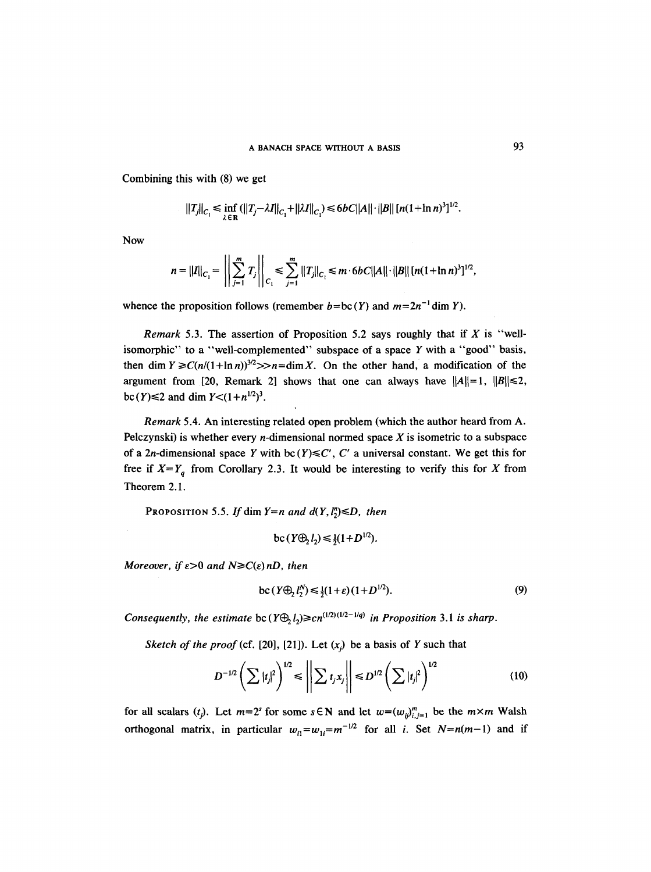Combining this with (8) we get

$$
||T_j||_{C_1} \le \inf_{\lambda \in \mathbf{R}} (||T_j - \lambda I||_{C_1} + ||\lambda I||_{C_1}) \le 6bC||A|| \cdot ||B|| [n(1 + \ln n)^3]^{1/2}.
$$

Now

$$
n = ||I||_{C_1} = \left|\left|\sum_{j=1}^m T_j\right|\right|_{C_1} \leq \sum_{j=1}^m ||T_j||_{C_1} \leq m \cdot 6bC||A|| \cdot ||B|| \left[n(1 + \ln n)^3\right]^{1/2},
$$

whence the proposition follows (remember  $b = bc(Y)$  and  $m=2n^{-1}$  dim Y).

*Remark* 5.3. The assertion of Proposition 5.2 says roughly that if X is "wellisomorphic" to a "well-complemented" subspace of a space  $Y$  with a "good" basis, then dim  $Y \ge C(n/(1+\ln n))^{3/2} >> n=\dim X$ . On the other hand, a modification of the argument from [20, Remark 2] shows that one can always have  $||A||=1$ ,  $||B||\le 2$ , bc (Y)  $\leq$  2 and dim  $Y$   $\leq$   $(1 + n^{1/2})^3$ .

*Remark* 5.4. An interesting related open problem (which the author heard from A. Pelczynski) is whether every *n*-dimensional normed space  $X$  is isometric to a subspace of a 2*n*-dimensional space Y with bc  $(Y) \leq C'$ , C' a universal constant. We get this for free if  $X=Y_q$  from Corollary 2.3. It would be interesting to verify this for X from Theorem 2.1.

PROPOSITION 5.5. If dim  $Y=n$  and  $d(Y, l^n) \le D$ , then

$$
bc(Y\oplus_2 l_2) \leq \frac{1}{2}(1+D^{1/2}).
$$

*Moreover, if*  $\varepsilon > 0$  *and*  $N \ge C(\varepsilon) nD$ *, then* 

$$
\operatorname{bc}\left(Y \oplus I_2^N\right) \le \frac{1}{2}(1+\varepsilon)(1+D^{1/2}).\tag{9}
$$

*Consequently, the estimate*  $bc (Y \oplus_i I) \geq cn^{(1/2)(1/2-1/q)}$  *in Proposition 3.1 is sharp.* 

*Sketch of the proof* (cf. [20], [21]). Let  $(x_i)$  be a basis of Y such that

$$
D^{-1/2}\left(\sum |t_j|^2\right)^{1/2} \leq \left\|\sum t_j x_j\right\| \leq D^{1/2}\left(\sum |t_j|^2\right)^{1/2} \tag{10}
$$

for all scalars  $(t_j)$ . Let  $m=2^s$  for some  $s \in \mathbb{N}$  and let  $w=(w_{ij})_{i,j=1}^m$  be the  $m \times m$  Walsh orthogonal matrix, in particular  $w_{i1} = w_{1i} = m^{-1/2}$  for all *i*. Set  $N = n(m-1)$  and if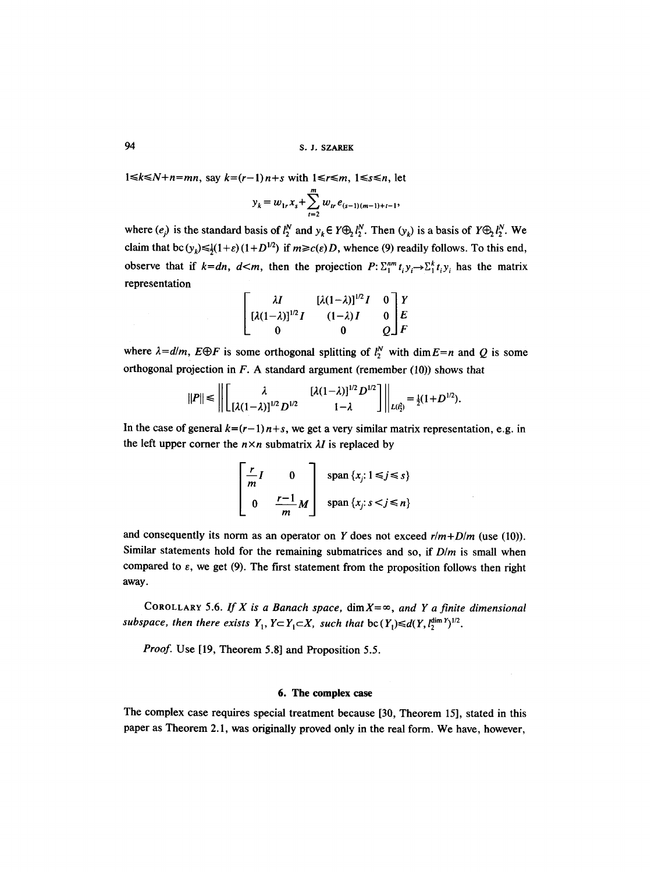94 S. J, SZAREK

 $1 \le k \le N+n=mn$ , say  $k=(r-1)n+s$  with  $1 \le r \le m$ ,  $1 \le s \le n$ , let

$$
y_k = w_{1r} x_s + \sum_{t=2}^m w_{tr} e_{(s-1)(m-1)+t-1},
$$

where  $(e_j)$  is the standard basis of  $l_2^N$  and  $y_k \in Y \bigoplus_2 l_2^N$ . Then  $(y_k)$  is a basis of  $Y \bigoplus_2 l_2^N$ . We claim that bc  $(y_k) \leq (1+\varepsilon)(1+D^{1/2})$  if  $m \geq c(\varepsilon)D$ , whence (9) readily follows. To this end, observe that if  $k=dn$ ,  $d\leq m$ , then the projection  $P: \sum_{i=1}^{nm} t_i y_i \rightarrow \sum_{i=1}^{k} t_i y_i$  has the matrix representation

$$
\begin{bmatrix} \lambda I & [\lambda(1-\lambda)]^{1/2}I & 0 \ [A(1-\lambda)]^{1/2}I & 0 & F \ [A(1-\lambda)I & 0 & 0 & 0 \end{bmatrix} \begin{bmatrix} Y \\ E \\ E \\ F \end{bmatrix}
$$

where  $\lambda = d/m$ ,  $E \oplus F$  is some orthogonal splitting of  $l_2^N$  with dim  $E=n$  and Q is some orthogonal projection in  $F$ . A standard argument (remember (10)) shows that

$$
||P|| \le ||\left[\begin{matrix} \lambda & [\lambda(1-\lambda)]^{1/2} D^{1/2} \\ [\lambda(1-\lambda)]^{1/2} D^{1/2} & 1-\lambda \end{matrix}\right]||_{L(\ell_2^2)} = \frac{1}{2}(1+D^{1/2}).
$$

In the case of general  $k=(r-1)n+s$ , we get a very similar matrix representation, e.g. in the left upper corner the  $n \times n$  submatrix  $\lambda I$  is replaced by

$$
\begin{bmatrix} \frac{r}{m}I & 0 \\ 0 & \frac{r-1}{m}M \end{bmatrix} \text{ span } \{x_j: 1 \le j \le s\}
$$
  
span  $\{x_j: s < j \le n\}$ 

and consequently its norm as an operator on Y does not exceed  $r/m+D/m$  (use (10)). Similar statements hold for the remaining submatrices and so, if *D/m* is small when compared to  $\varepsilon$ , we get (9). The first statement from the proposition follows then right away.

COROLLARY 5.6. If X is a Banach space,  $\dim X = \infty$ , and Y a finite dimensional *subspace, then there exists*  $Y_1, Y \subset Y_1 \subset X$ *, such that*  $bc(Y_1) \leq d(Y_1, \zeta_2^{\dim Y})^{1/2}$ .

*Proof.* Use [19, Theorem 5.8] and Proposition 5.5.

### **6. The complex case**

The complex case requires special treatment because [30, Theorem 15], stated in this paper as Theorem 2.1, was originally proved only in the real form. We have, however,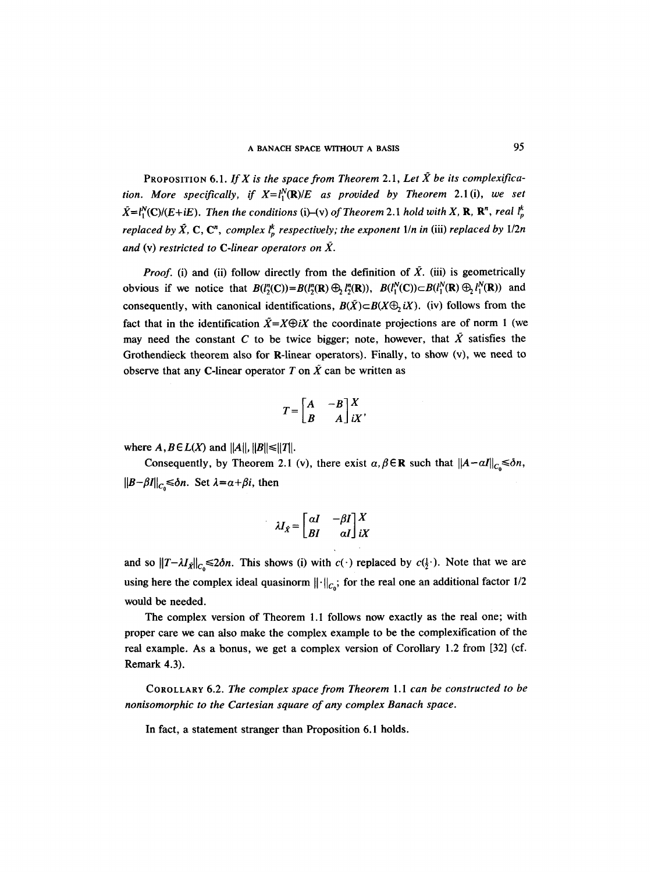PROPOSITION 6.1. *If X is the space from Theorem* 2.1, *Let X be its complexification. More specifically, if*  $X = l_1^N(\mathbf{R})/E$  as provided by Theorem 2.1(i), we set  $\tilde{X} = l_1^N(C)/(E+iE)$ . Then the conditions (i)–(v) of Theorem 2.1 hold with X, **R**, **R**<sup>n</sup>, real  $l_p^k$ *replaced by*  $\hat{X}$ *, C, C<sup>n</sup>, complex*  $l_n^k$  *respectively; the exponent 1/n in (iii) replaced by 1/2n* and (v) restricted to C-linear operators on  $\tilde{X}$ .

*Proof.* (i) and (ii) follow directly from the definition of  $\tilde{X}$ . (iii) is geometrically obvious if we notice that  $B(l^n_2(C))=B(l^n_2(R)\bigoplus_l l^n_2(R))$ ,  $B(l^n_1(C))\subset B(l^n_1(R)\bigoplus_l l^n_1(R))$  and consequently, with canonical identifications,  $B(\tilde{X}) \subset B(X \oplus_i X)$ . (iv) follows from the fact that in the identification  $\bar{X}=X\oplus iX$  the coordinate projections are of norm 1 (we may need the constant C to be twice bigger; note, however, that  $\tilde{X}$  satisfies the Grothendieck theorem also for R-linear operators). Finally, to show (v), we need to observe that any C-linear operator T on  $\tilde{X}$  can be written as

$$
T = \begin{bmatrix} A & -B \\ B & A \end{bmatrix} \begin{matrix} X \\ iX \end{matrix},
$$

where  $A, B \in L(X)$  and  $||A||, ||B|| \le ||T||$ .

Consequently, by Theorem 2.1 (v), there exist  $\alpha, \beta \in \mathbb{R}$  such that  $||A-aI||_{C_0} \le \delta n$ ,  $||B-\beta I||_{C_0} \leq \delta n$ . Set  $\lambda = \alpha + \beta i$ , then

$$
\lambda I_{\hat{X}} = \begin{bmatrix} \alpha I & -\beta I \\ B I & \alpha I \end{bmatrix} \begin{bmatrix} X \\ iX \end{bmatrix}
$$

and so  $||T-\lambda I_{\hat{X}}||_{C_0} \le 2\delta n$ . This shows (i) with  $c(\cdot)$  replaced by  $c(\frac{1}{2})$ . Note that we are using here the complex ideal quasinorm  $\|\cdot\|_{C_0}$ ; for the real one an additional factor 1/2 would be needed.

The complex version of Theorem 1.I follows now exactly as the real one; with proper care we can also make the complex example to be the complexification of the real example. As a bonus, we get a complex version of Corollary 1.2 from [32] (cf. Remark 4.3).

COROLLARY 6.2. *The complex space from Theorem 1. I can be constructed to be nonisomorphic to the Cartesian square of any complex Banach space.* 

In fact, a statement stranger than Proposition 6.1 holds.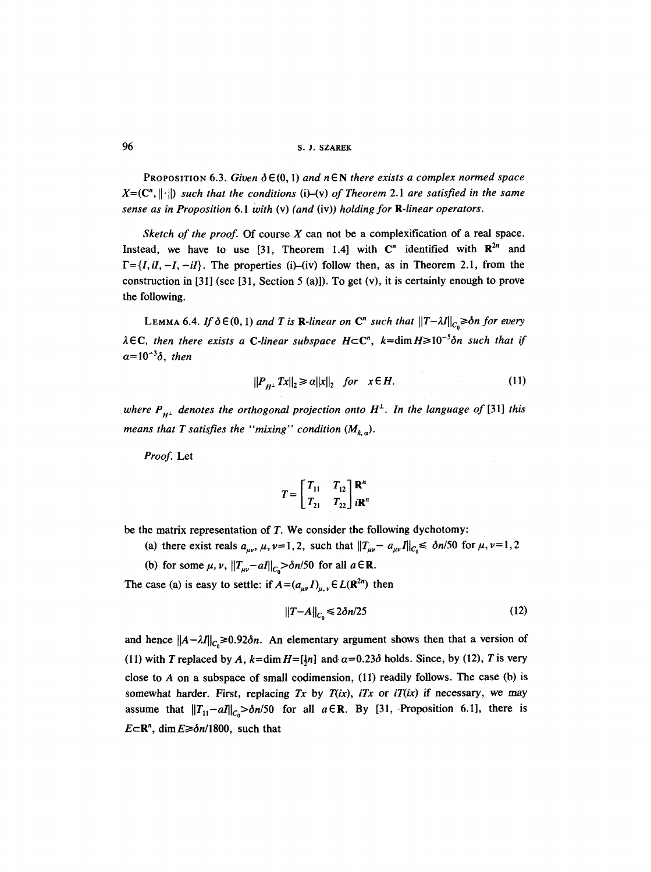**96 s.J. SZAREK** 

**PROPOSITION 6.3. Given**  $\delta \in (0, 1)$  **and**  $n \in \mathbb{N}$  **there exists a complex normed space**  $X=(\mathbb{C}^n, \|\cdot\|)$  *such that the conditions* (i)–(v) *of Theorem* 2.1 are *satisfied in the same sense as in Proposition 6.1 With* (v) *(and* (iv)) *holding for R-linear operators.* 

*Sketch of the proof.* Of course X can not be a complexification of a real space. Instead, we have to use [31, Theorem 1.4] with  $\mathbb{C}^n$  identified with  $\mathbb{R}^{2n}$  and  $F = \{I, iI, -I, -iI\}$ . The properties (i)–(iv) follow then, as in Theorem 2.1, from the construction in [31] (see [31, Section 5 (a)]). To get (v), it is certainly enough to prove the following.

LEMMA 6.4. If  $\delta \in (0, 1)$  and T is R-linear on C<sup>n</sup> such that  $||T - \lambda I||_{C_{\delta}} \geq \delta n$  for every  $\lambda \in \mathbb{C}$ , then there exists a C-linear subspace  $H \subset \mathbb{C}^n$ ,  $k = \dim H \geq 10^{-5}$  on such that if  $\alpha = 10^{-3}\delta$ , *then* 

$$
||P_{H^{\perp}} Tx||_2 \ge a||x||_2 \quad \text{for} \quad x \in H. \tag{11}
$$

*where*  $P_{H^{\perp}}$  *denotes the orthogonal projection onto*  $H^{\perp}$ *. In the language of* [31] *this means that T satisfies the "mixing" condition*  $(M_{k,q})$ .

*Proof.* Let

$$
T = \begin{bmatrix} T_{11} & T_{12} \\ T_{21} & T_{22} \end{bmatrix} \begin{matrix} \mathbf{R}^n \\ i\mathbf{R}^n \end{matrix}
$$

be the matrix representation of  $T$ . We consider the following dychotomy:

- (a) there exist reals  $a_{uv}$ ,  $\mu$ ,  $\nu=1,2$ , such that  $||T_{\mu\nu}- a_{\mu\nu}I||_{C_0} \leq \delta n/50$  for  $\mu$ ,  $\nu=1,2$
- (b) for some  $\mu$ ,  $\nu$ ,  $||T_{\mu\nu}-aI||_{C} > \delta n/50$  for all  $a \in \mathbb{R}$ .

The case (a) is easy to settle: if  $A = (a_{\mu\nu} I)_{\mu\nu} \in L(\mathbb{R}^{2n})$  then

$$
||T - A||_{C_0} \le 2\delta n/25
$$
 (12)

and hence  $||A - \lambda I||_{C_0} \ge 0.92\delta n$ . An elementary argument shows then that a version of (11) with T replaced by A,  $k=$ dim  $H=[\frac{1}{2}n]$  and  $\alpha=0.23\delta$  holds. Since, by (12), T is very close to  $A$  on a subspace of small codimension, (11) readily follows. The case (b) is somewhat harder. First, replacing  $Tx$  by  $T(ix)$ ,  $iTx$  or  $iT(ix)$  if necessary, we may assume that  $||T_{11}-aI||_{C_0} > \delta n/50$  for all  $a \in \mathbb{R}$ . By [31, Proposition 6.1], there is  $E\subset \mathbb{R}^n$ , dim  $E \ge \delta n/1800$ , such that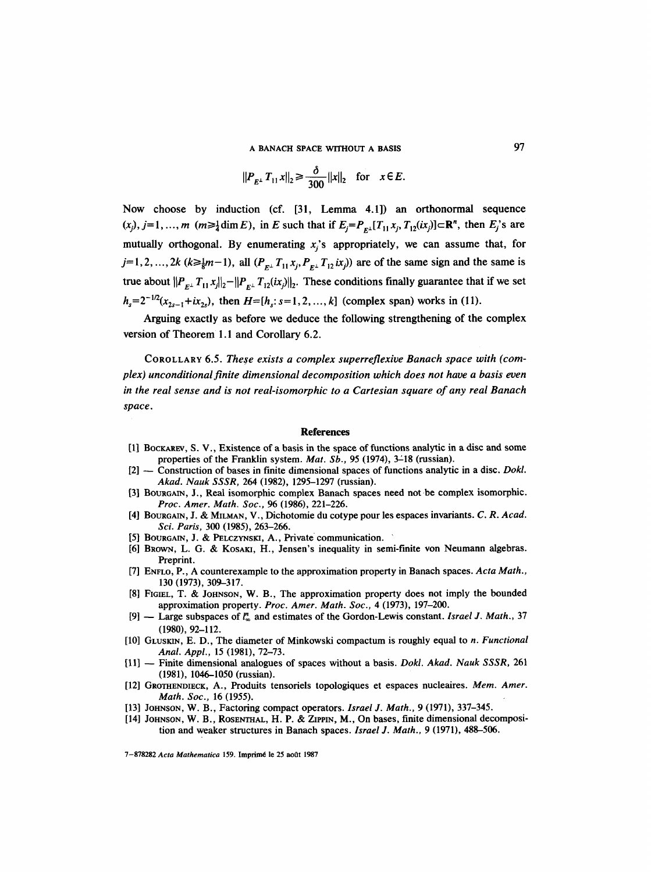**A BANACH SPACE WITHOUT A BASIS** 97

$$
||P_{E^{\perp}} T_{11} x||_2 \ge \frac{\delta}{300} ||x||_2
$$
 for  $x \in E$ .

Now choose by induction (cf. [31, Lemma 4.1]) an orthonormal sequence  $(x_j)$ ,  $j=1, ..., m$   $(m \geq \frac{1}{4} \dim E)$ , in E such that if  $E_j = P_{F_i}[T_{11}x_j, T_{12}(ix_j)] \subset \mathbb{R}^n$ , then  $E_j$ 's are mutually orthogonal. By enumerating  $x<sub>i</sub>$ 's appropriately, we can assume that, for  $j=1,2,..., 2k$  ( $k\geq \frac{1}{8}m-1$ ), all  $(P_{E^{\perp}}T_{11}x_i, P_{E^{\perp}}T_{12}ix_j)$  are of the same sign and the same is true about  $||P_{F^{\perp}}T_{11}x_j||_2-||P_{F^{\perp}}T_{12}(ix_j)||_2$ . These conditions finally guarantee that if we set  $h_s = 2^{-1/2}(x_{2s-1}+ix_{2s})$ , then  $H=[h_s: s=1,2,...,k]$  (complex span) works in (11).

Arguing exactly as before we deduce the following strengthening of the complex version of Theorem 1.1 and Corollary 6.2.

COROLLARY 6.5. *These exists a complex superreflexive Banach space with (complex) unconditional finite dimensional decomposition which does not have a basis even in the real sense and is not real-isomorphic to a Cartesian square of any real Banach space.* 

#### **References**

- [1] BOCKAREV, S. V., Existence of a basis in the space of functions analytic in a disc and some properties of the Franklin system. *Mat. Sb.*, 95 (1974), 3-18 (russian).
- [2] -- Construction of bases in finite dimensional spaces of functions analytic in a disc. *Dokl. Akad. Nauk SSSR,* 264 (1982), 1295-1297 (russian).
- [3] BOURGAIN, J., Real isomorphic complex Banach spaces need not be complex isomorphic. *Proc. Amer. Math. Soc., 96* (1986), 221-226.
- [4] BOUR6AIN, J. & MILMAN, V., Dichotomie du cotype pour les espaces invariants. *C. R. Acad. Sci. Paris,* 300 (1985), 263-266.
- [5] BOURGAIN, J. & PELCZYNSKI, A., Private communication.
- [6] BROWN, L. G. & KOSAKI, H., Jensen's inequality in semi-finite von Neumann algebras. Preprint.
- [7] ENFLO, P., A counterexample to the approximation property in Banach spaces. *Acta Math.*, 130 (1973), 309-317.
- [8] FIGIEL, T. & JOHNSON, W. B., The approximation property does not imply the bounded approximation property. *Proc. Amer. Math. Soc.,* 4 (1973), 197-200.
- [9] -- Large subspaces of l~ and estimates of the Gordon-Lewis constant. *Israel J. Math.,* 37 (1980), 92-112.
- [10] GLUSKIN, E. D., The diameter of Minkowski compactum is roughly equal to *n. Functional Anal. Appl.,* 15 (1981), 72-73.
- [11] ~ Finite dimensional analogues of spaces without a basis. *Dokl. Akad. Nauk SSSR,* 261 (1981), 1046-1050 (russian).
- [12] GROTHENDIECK, A., Produits tensoriels topologiques et espaces nucleaires. *Mem. Amer. Math. Soc.,* 16 (1955).
- [13] JoHssos, W. B., Factoring compact operators. *Israel J. Math.,* 9 (1971), 337-345.
- [14] JOHNSON, W. B., ROSENTHAL, H. P. & ZIPPIN, M., On bases, finite dimensional decomposition and weaker structures in Banach spaces. *Israel J. Math.,* 9 (1971), 488-506.